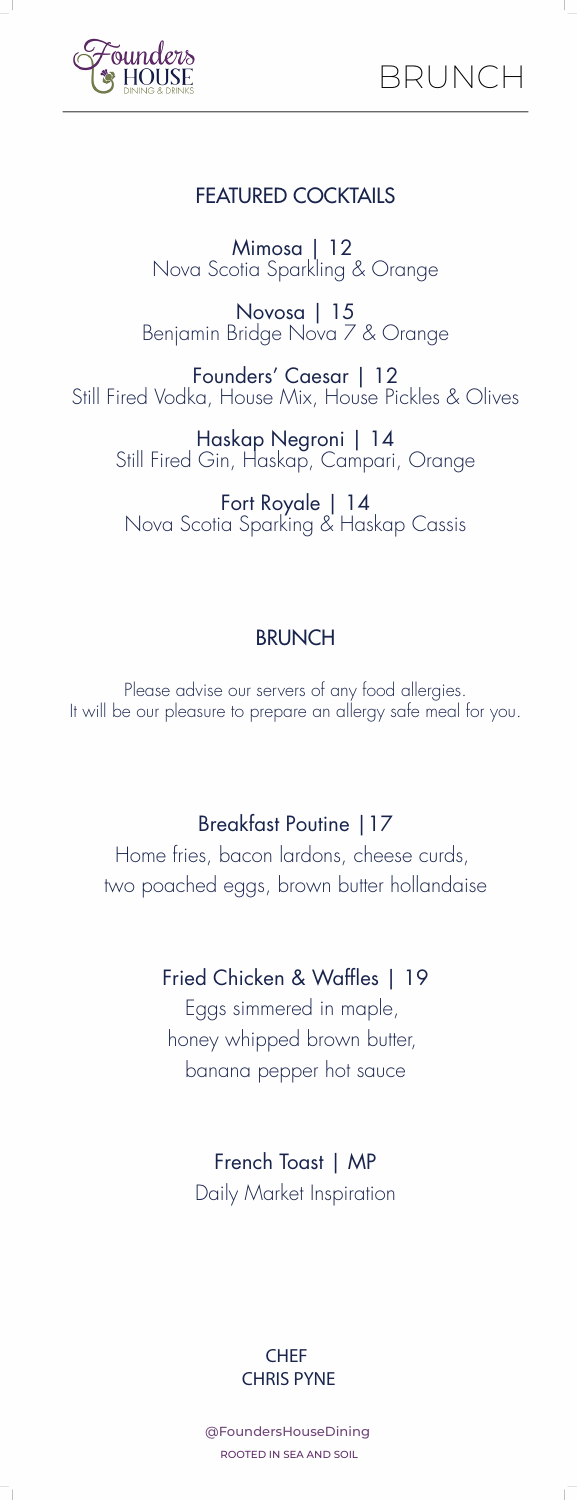

# FEATURED COCKTAILS

Mimosa | 12 Nova Scotia Sparkling & Orange

Novosa | 15 Benjamin Bridge Nova 7 & Orange

Founders' Caesar | 12 Still Fired Vodka, House Mix, House Pickles & Olives

Haskap Negroni | 14 Still Fired Gin, Haskap, Campari, Orange

Fort Royale | 14 Nova Scotia Sparking & Haskap Cassis

### **BRUNCH**

Please advise our servers of any food allergies. It will be our pleasure to prepare an allergy safe meal for you.

## Breakfast Poutine |17

Home fries, bacon lardons, cheese curds, two poached eggs, brown butter hollandaise

### Fried Chicken & Waffles | 19

Eggs simmered in maple, honey whipped brown butter, banana pepper hot sauce

#### French Toast | MP

Daily Market Inspiration



@FoundersHouseDining ROOTED IN SEA AND SOIL